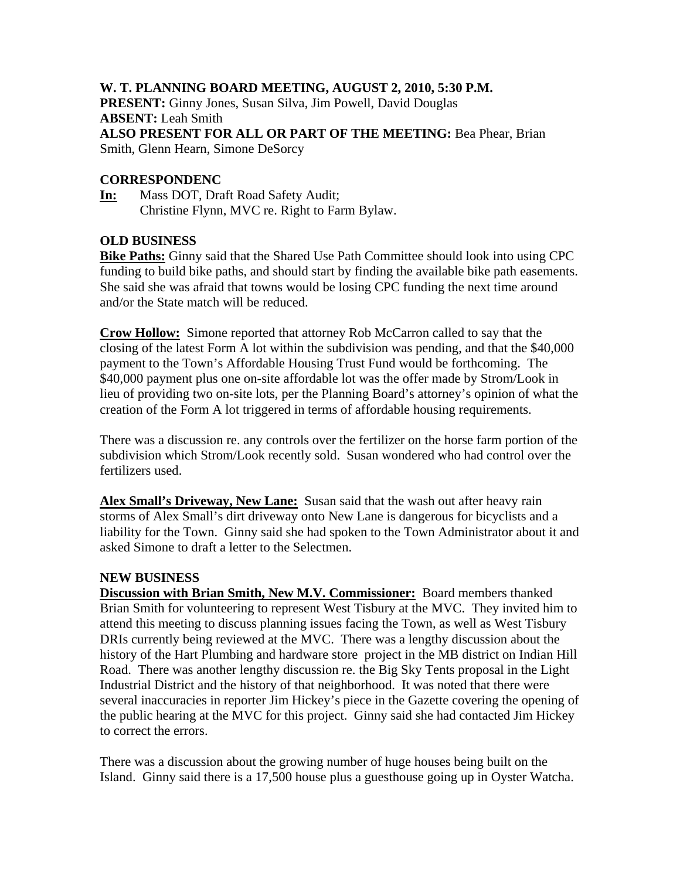## **W. T. PLANNING BOARD MEETING, AUGUST 2, 2010, 5:30 P.M.**

**PRESENT:** Ginny Jones, Susan Silva, Jim Powell, David Douglas **ABSENT:** Leah Smith **ALSO PRESENT FOR ALL OR PART OF THE MEETING:** Bea Phear, Brian Smith, Glenn Hearn, Simone DeSorcy

### **CORRESPONDENC**

**In:** Mass DOT, Draft Road Safety Audit; Christine Flynn, MVC re. Right to Farm Bylaw.

#### **OLD BUSINESS**

**Bike Paths:** Ginny said that the Shared Use Path Committee should look into using CPC funding to build bike paths, and should start by finding the available bike path easements. She said she was afraid that towns would be losing CPC funding the next time around and/or the State match will be reduced.

**Crow Hollow:** Simone reported that attorney Rob McCarron called to say that the closing of the latest Form A lot within the subdivision was pending, and that the \$40,000 payment to the Town's Affordable Housing Trust Fund would be forthcoming. The \$40,000 payment plus one on-site affordable lot was the offer made by Strom/Look in lieu of providing two on-site lots, per the Planning Board's attorney's opinion of what the creation of the Form A lot triggered in terms of affordable housing requirements.

There was a discussion re. any controls over the fertilizer on the horse farm portion of the subdivision which Strom/Look recently sold. Susan wondered who had control over the fertilizers used.

**Alex Small's Driveway, New Lane:** Susan said that the wash out after heavy rain storms of Alex Small's dirt driveway onto New Lane is dangerous for bicyclists and a liability for the Town. Ginny said she had spoken to the Town Administrator about it and asked Simone to draft a letter to the Selectmen.

#### **NEW BUSINESS**

**Discussion with Brian Smith, New M.V. Commissioner:** Board members thanked Brian Smith for volunteering to represent West Tisbury at the MVC. They invited him to attend this meeting to discuss planning issues facing the Town, as well as West Tisbury DRIs currently being reviewed at the MVC. There was a lengthy discussion about the history of the Hart Plumbing and hardware store project in the MB district on Indian Hill Road. There was another lengthy discussion re. the Big Sky Tents proposal in the Light Industrial District and the history of that neighborhood. It was noted that there were several inaccuracies in reporter Jim Hickey's piece in the Gazette covering the opening of the public hearing at the MVC for this project. Ginny said she had contacted Jim Hickey to correct the errors.

There was a discussion about the growing number of huge houses being built on the Island. Ginny said there is a 17,500 house plus a guesthouse going up in Oyster Watcha.